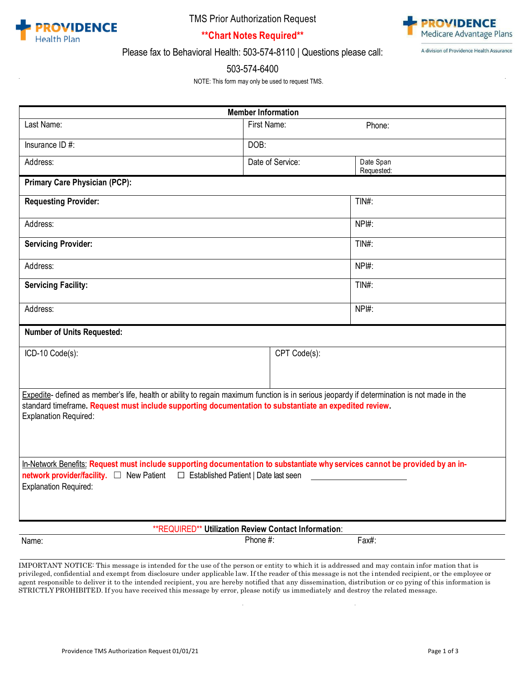

TMS Prior Authorization Request



A division of Providence Health Assurance

**\*\*Chart Notes Required\*\*** Please fax to Behavioral Health: 503-574-8110 | Questions please call:

#### 503-574-6400

NOTE: This form may only be used to request TMS.

| <b>Member Information</b>                                                                                                                                                                                                                                                             |                  |                         |  |  |  |  |
|---------------------------------------------------------------------------------------------------------------------------------------------------------------------------------------------------------------------------------------------------------------------------------------|------------------|-------------------------|--|--|--|--|
| Last Name:                                                                                                                                                                                                                                                                            | First Name:      | Phone:                  |  |  |  |  |
| Insurance ID #:                                                                                                                                                                                                                                                                       | DOB:             |                         |  |  |  |  |
| Address:                                                                                                                                                                                                                                                                              | Date of Service: | Date Span<br>Requested: |  |  |  |  |
| <b>Primary Care Physician (PCP):</b>                                                                                                                                                                                                                                                  |                  |                         |  |  |  |  |
| <b>Requesting Provider:</b>                                                                                                                                                                                                                                                           |                  | $TIN#$ :                |  |  |  |  |
| Address:                                                                                                                                                                                                                                                                              | NPI#:            |                         |  |  |  |  |
| <b>Servicing Provider:</b>                                                                                                                                                                                                                                                            |                  | TIN#:                   |  |  |  |  |
| Address:                                                                                                                                                                                                                                                                              |                  | NPI#:                   |  |  |  |  |
| <b>Servicing Facility:</b>                                                                                                                                                                                                                                                            |                  | $TIN#$ :                |  |  |  |  |
| Address:                                                                                                                                                                                                                                                                              |                  | NPI#:                   |  |  |  |  |
| <b>Number of Units Requested:</b>                                                                                                                                                                                                                                                     |                  |                         |  |  |  |  |
| ICD-10 Code(s):                                                                                                                                                                                                                                                                       | CPT Code(s):     |                         |  |  |  |  |
|                                                                                                                                                                                                                                                                                       |                  |                         |  |  |  |  |
| Expedite- defined as member's life, health or ability to regain maximum function is in serious jeopardy if determination is not made in the<br>standard timeframe. Request must include supporting documentation to substantiate an expedited review.<br><b>Explanation Required:</b> |                  |                         |  |  |  |  |
| In-Network Benefits: Request must include supporting documentation to substantiate why services cannot be provided by an in-<br>network provider/facility.  □ New Patient □ Established Patient   Date last seen<br><b>Explanation Required:</b>                                      |                  |                         |  |  |  |  |
| ** REQUIRED** Utilization Review Contact Information:                                                                                                                                                                                                                                 |                  |                         |  |  |  |  |
| Name:                                                                                                                                                                                                                                                                                 | Phone #:         | Fax#:                   |  |  |  |  |

IMPORTANT NOTICE: This message is intended for the use of the person or entity to which it is addressed and may contain infor mation that is privileged, confidential and exempt from disclosure under applicable law. If the reader of this message is not the i ntended recipient, or the employee or agent responsible to deliver it to the intended recipient, you are hereby notified that any dissemination, distribution or co pying of this information is STRICTLY PROHIBITED. If you have received this message by error, please notify us immediately and destroy the related message.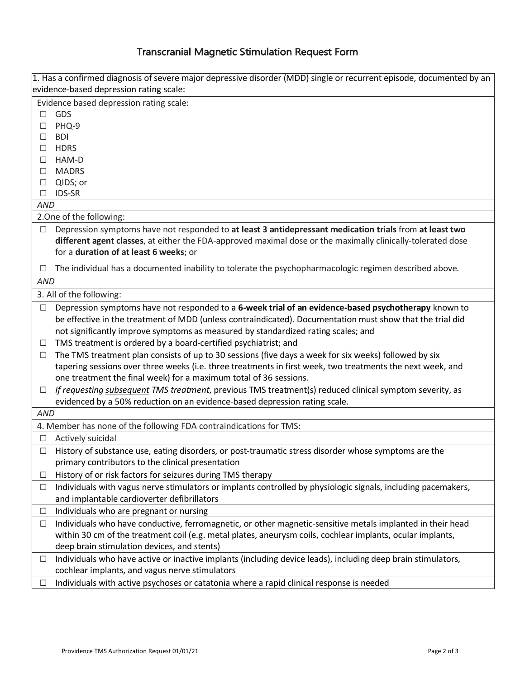# Transcranial Magnetic Stimulation Request Form

|             | 1. Has a confirmed diagnosis of severe major depressive disorder (MDD) single or recurrent episode, documented by an |  |  |  |
|-------------|----------------------------------------------------------------------------------------------------------------------|--|--|--|
|             | evidence-based depression rating scale:                                                                              |  |  |  |
|             | Evidence based depression rating scale:                                                                              |  |  |  |
| □           | GDS                                                                                                                  |  |  |  |
| □           | PHQ-9                                                                                                                |  |  |  |
| □           | <b>BDI</b>                                                                                                           |  |  |  |
| $\Box$      | <b>HDRS</b>                                                                                                          |  |  |  |
| □           | HAM-D                                                                                                                |  |  |  |
| □           | <b>MADRS</b>                                                                                                         |  |  |  |
| □<br>$\Box$ | QIDS; or<br><b>IDS-SR</b>                                                                                            |  |  |  |
| <b>AND</b>  |                                                                                                                      |  |  |  |
|             | 2. One of the following:                                                                                             |  |  |  |
| □           | Depression symptoms have not responded to at least 3 antidepressant medication trials from at least two              |  |  |  |
|             | different agent classes, at either the FDA-approved maximal dose or the maximally clinically-tolerated dose          |  |  |  |
|             | for a duration of at least 6 weeks; or                                                                               |  |  |  |
|             |                                                                                                                      |  |  |  |
| ⊔           | The individual has a documented inability to tolerate the psychopharmacologic regimen described above.               |  |  |  |
| <b>AND</b>  |                                                                                                                      |  |  |  |
|             | 3. All of the following:                                                                                             |  |  |  |
| $\Box$      | Depression symptoms have not responded to a 6-week trial of an evidence-based psychotherapy known to                 |  |  |  |
|             | be effective in the treatment of MDD (unless contraindicated). Documentation must show that the trial did            |  |  |  |
|             | not significantly improve symptoms as measured by standardized rating scales; and                                    |  |  |  |
| $\Box$      | TMS treatment is ordered by a board-certified psychiatrist; and                                                      |  |  |  |
| □           | The TMS treatment plan consists of up to 30 sessions (five days a week for six weeks) followed by six                |  |  |  |
|             | tapering sessions over three weeks (i.e. three treatments in first week, two treatments the next week, and           |  |  |  |
|             | one treatment the final week) for a maximum total of 36 sessions.                                                    |  |  |  |
| $\Box$      | If requesting subsequent TMS treatment, previous TMS treatment(s) reduced clinical symptom severity, as              |  |  |  |
|             | evidenced by a 50% reduction on an evidence-based depression rating scale.                                           |  |  |  |
| <b>AND</b>  |                                                                                                                      |  |  |  |
|             | 4. Member has none of the following FDA contraindications for TMS:                                                   |  |  |  |
| □           | Actively suicidal                                                                                                    |  |  |  |
| $\Box$      | History of substance use, eating disorders, or post-traumatic stress disorder whose symptoms are the                 |  |  |  |
|             | primary contributors to the clinical presentation                                                                    |  |  |  |
| ⊔           | History of or risk factors for seizures during TMS therapy                                                           |  |  |  |
| $\Box$      | Individuals with vagus nerve stimulators or implants controlled by physiologic signals, including pacemakers,        |  |  |  |
|             | and implantable cardioverter defibrillators                                                                          |  |  |  |
| $\Box$      | Individuals who are pregnant or nursing                                                                              |  |  |  |
| □           | Individuals who have conductive, ferromagnetic, or other magnetic-sensitive metals implanted in their head           |  |  |  |
|             | within 30 cm of the treatment coil (e.g. metal plates, aneurysm coils, cochlear implants, ocular implants,           |  |  |  |
|             | deep brain stimulation devices, and stents)                                                                          |  |  |  |
| ⊔           | Individuals who have active or inactive implants (including device leads), including deep brain stimulators,         |  |  |  |
|             | cochlear implants, and vagus nerve stimulators                                                                       |  |  |  |
| ⊔           | Individuals with active psychoses or catatonia where a rapid clinical response is needed                             |  |  |  |